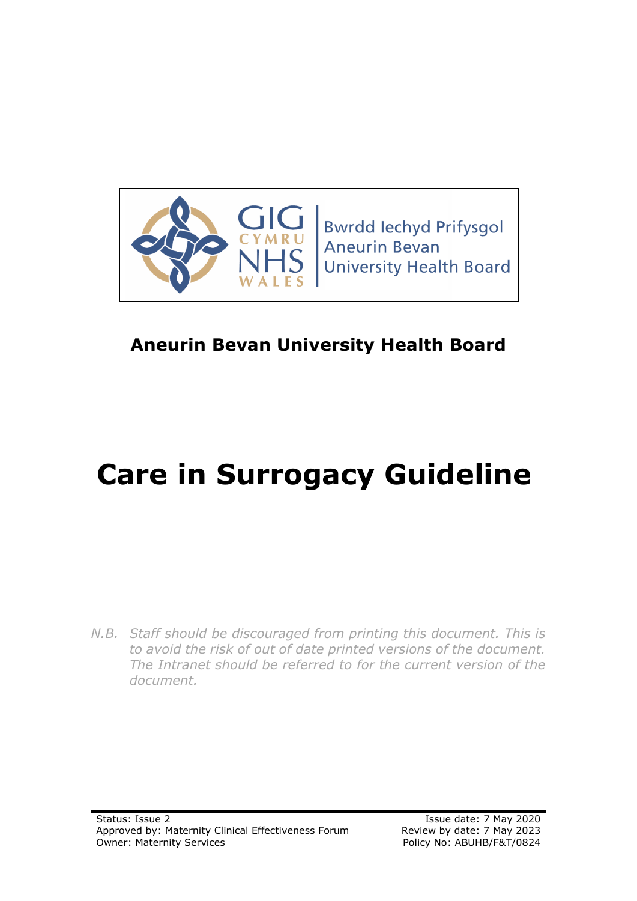

# **Aneurin Bevan University Health Board**

# **Care in Surrogacy Guideline**

*N.B. Staff should be discouraged from printing this document. This is to avoid the risk of out of date printed versions of the document. The Intranet should be referred to for the current version of the document.*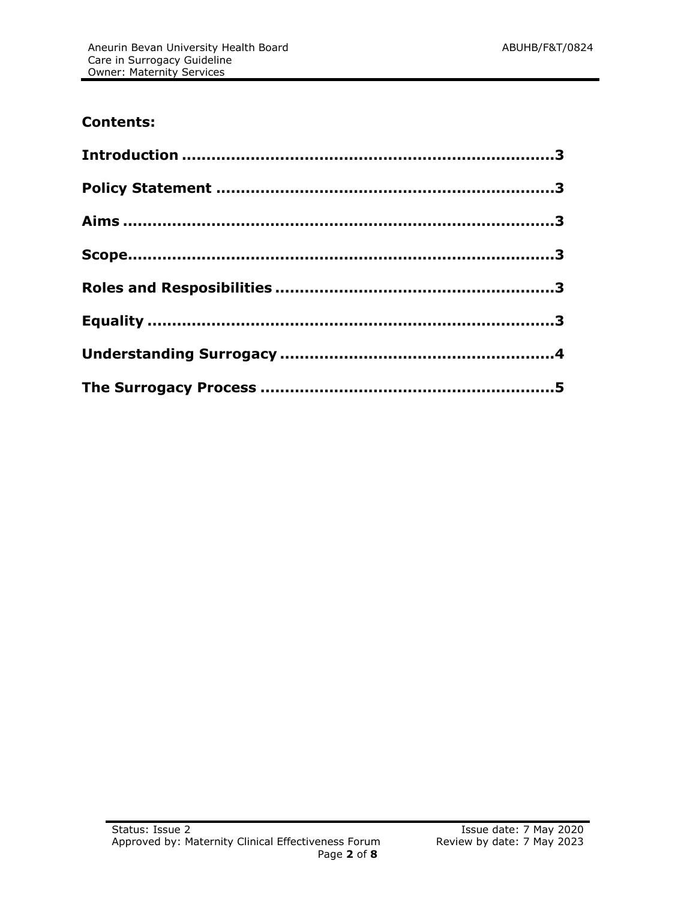# **Contents:**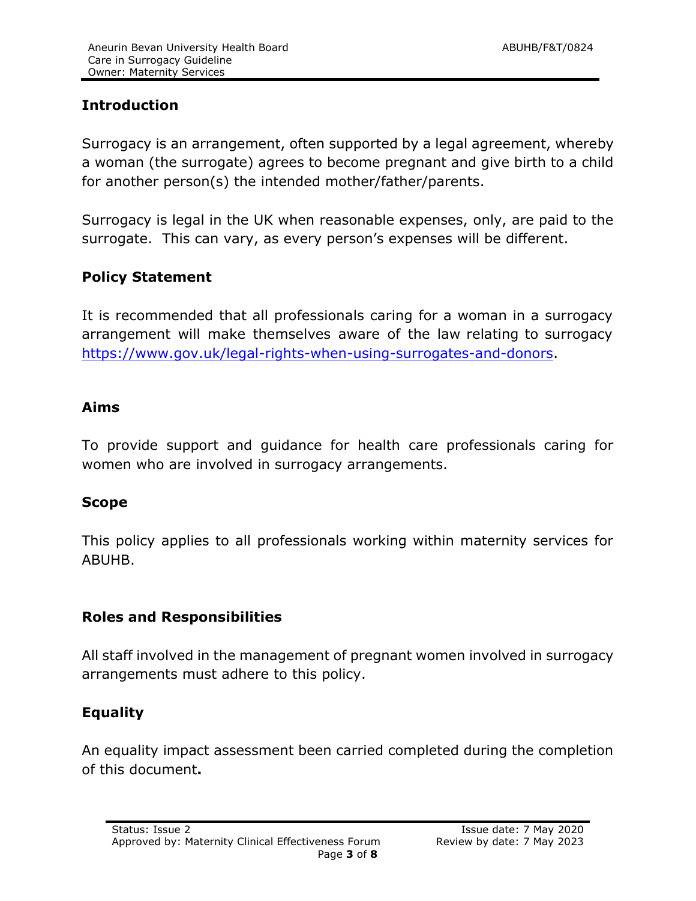# <span id="page-2-0"></span>**Introduction**

Surrogacy is an arrangement, often supported by a legal agreement, whereby a woman (the surrogate) agrees to become pregnant and give birth to a child for another person(s) the intended mother/father/parents.

Surrogacy is legal in the UK when reasonable expenses, only, are paid to the surrogate. This can vary, as every person's expenses will be different.

# <span id="page-2-1"></span>**Policy Statement**

It is recommended that all professionals caring for a woman in a surrogacy arrangement will make themselves aware of the law relating to surrogacy [https://www.gov.uk/legal-rights-when-using-surrogates-and-donors.](https://www.gov.uk/legal-rights-when-using-surrogates-and-donors)

#### <span id="page-2-2"></span>**Aims**

To provide support and guidance for health care professionals caring for women who are involved in surrogacy arrangements.

#### <span id="page-2-3"></span>**Scope**

This policy applies to all professionals working within maternity services for ABUHB.

#### **Roles and Responsibilities**

All staff involved in the management of pregnant women involved in surrogacy arrangements must adhere to this policy.

# **Equality**

An equality impact assessment been carried completed during the completion of this document**.**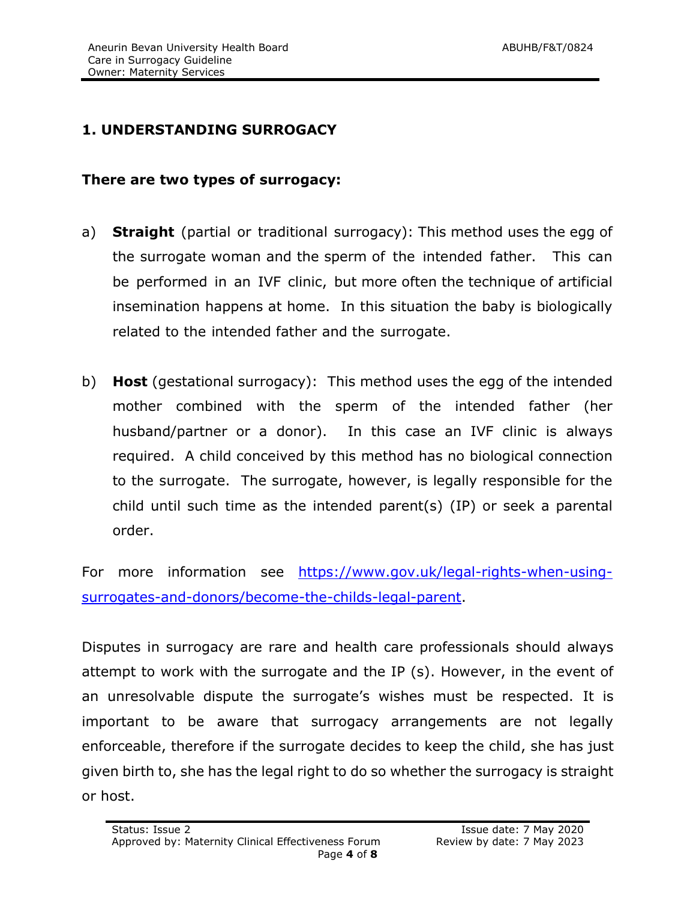# **1. UNDERSTANDING SURROGACY**

#### **There are two types of surrogacy:**

- a) **Straight** (partial or traditional surrogacy): This method uses the egg of the surrogate woman and the sperm of the intended father. This can be performed in an IVF clinic, but more often the technique of artificial insemination happens at home. In this situation the baby is biologically related to the intended father and the surrogate.
- b) **Host** (gestational surrogacy): This method uses the egg of the intended mother combined with the sperm of the intended father (her husband/partner or a donor). In this case an IVF clinic is always required. A child conceived by this method has no biological connection to the surrogate. The surrogate, however, is legally responsible for the child until such time as the intended parent(s) (IP) or seek a parental order.

For more information see [https://www.gov.uk/legal-rights-when-using](https://www.gov.uk/legal-rights-when-using-surrogates-and-donors/become-the-childs-legal-parent)[surrogates-and-donors/become-the-childs-legal-parent.](https://www.gov.uk/legal-rights-when-using-surrogates-and-donors/become-the-childs-legal-parent)

Disputes in surrogacy are rare and health care professionals should always attempt to work with the surrogate and the IP (s). However, in the event of an unresolvable dispute the surrogate's wishes must be respected. It is important to be aware that surrogacy arrangements are not legally enforceable, therefore if the surrogate decides to keep the child, she has just given birth to, she has the legal right to do so whether the surrogacy is straight or host.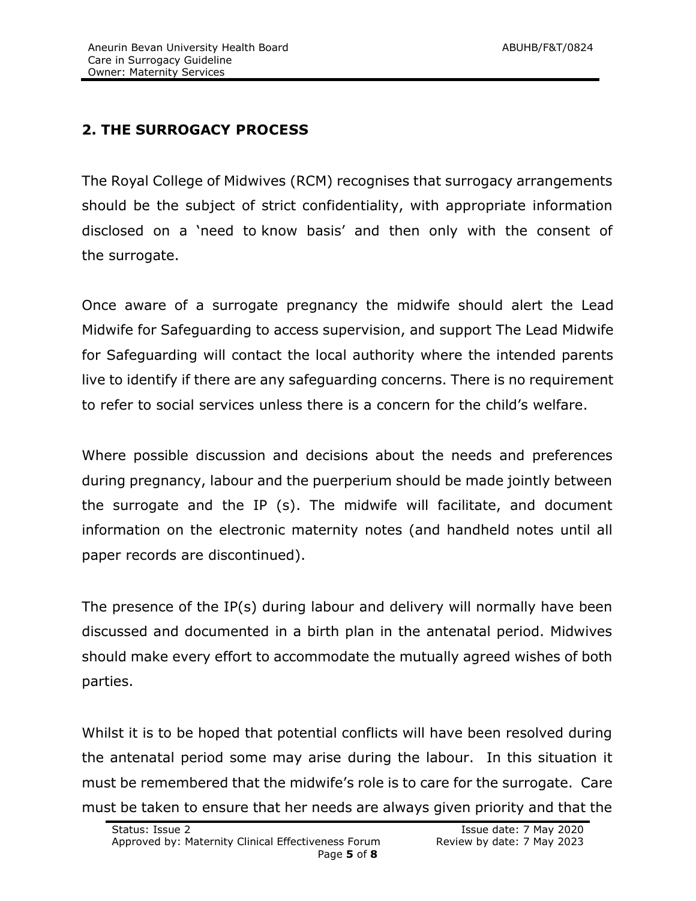# **2. THE SURROGACY PROCESS**

The Royal College of Midwives (RCM) recognises that surrogacy arrangements should be the subject of strict confidentiality, with appropriate information disclosed on a 'need to know basis' and then only with the consent of the surrogate.

Once aware of a surrogate pregnancy the midwife should alert the Lead Midwife for Safeguarding to access supervision, and support The Lead Midwife for Safeguarding will contact the local authority where the intended parents live to identify if there are any safeguarding concerns. There is no requirement to refer to social services unless there is a concern for the child's welfare.

Where possible discussion and decisions about the needs and preferences during pregnancy, labour and the puerperium should be made jointly between the surrogate and the IP (s). The midwife will facilitate, and document information on the electronic maternity notes (and handheld notes until all paper records are discontinued).

The presence of the IP(s) during labour and delivery will normally have been discussed and documented in a birth plan in the antenatal period. Midwives should make every effort to accommodate the mutually agreed wishes of both parties.

Whilst it is to be hoped that potential conflicts will have been resolved during the antenatal period some may arise during the labour. In this situation it must be remembered that the midwife's role is to care for the surrogate. Care must be taken to ensure that her needs are always given priority and that the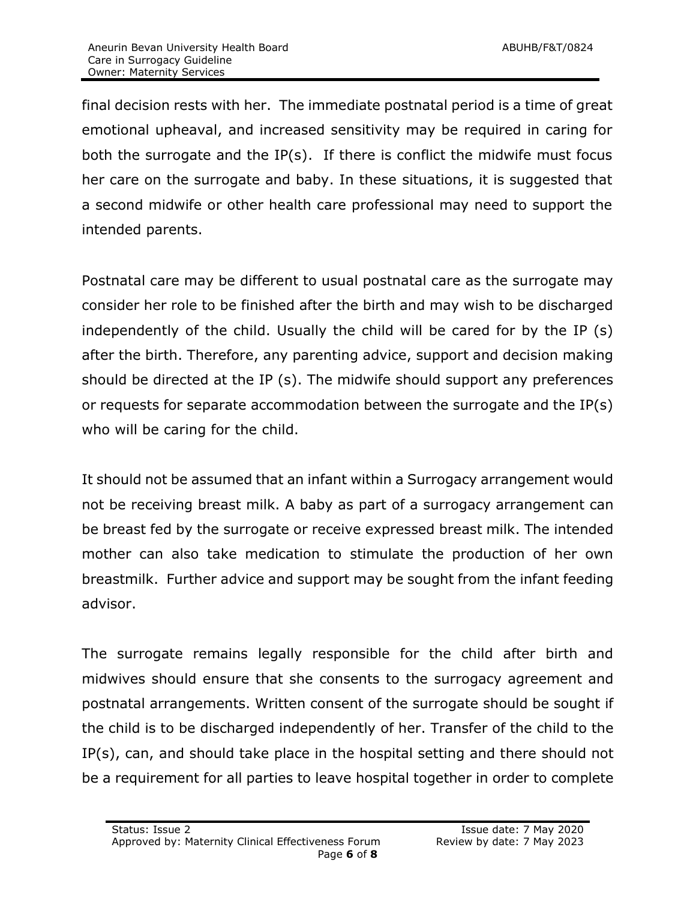final decision rests with her. The immediate postnatal period is a time of great emotional upheaval, and increased sensitivity may be required in caring for both the surrogate and the IP(s). If there is conflict the midwife must focus her care on the surrogate and baby. In these situations, it is suggested that a second midwife or other health care professional may need to support the intended parents.

Postnatal care may be different to usual postnatal care as the surrogate may consider her role to be finished after the birth and may wish to be discharged independently of the child. Usually the child will be cared for by the IP (s) after the birth. Therefore, any parenting advice, support and decision making should be directed at the IP (s). The midwife should support any preferences or requests for separate accommodation between the surrogate and the IP(s) who will be caring for the child.

It should not be assumed that an infant within a Surrogacy arrangement would not be receiving breast milk. A baby as part of a surrogacy arrangement can be breast fed by the surrogate or receive expressed breast milk. The intended mother can also take medication to stimulate the production of her own breastmilk. Further advice and support may be sought from the infant feeding advisor.

The surrogate remains legally responsible for the child after birth and midwives should ensure that she consents to the surrogacy agreement and postnatal arrangements. Written consent of the surrogate should be sought if the child is to be discharged independently of her. Transfer of the child to the IP(s), can, and should take place in the hospital setting and there should not be a requirement for all parties to leave hospital together in order to complete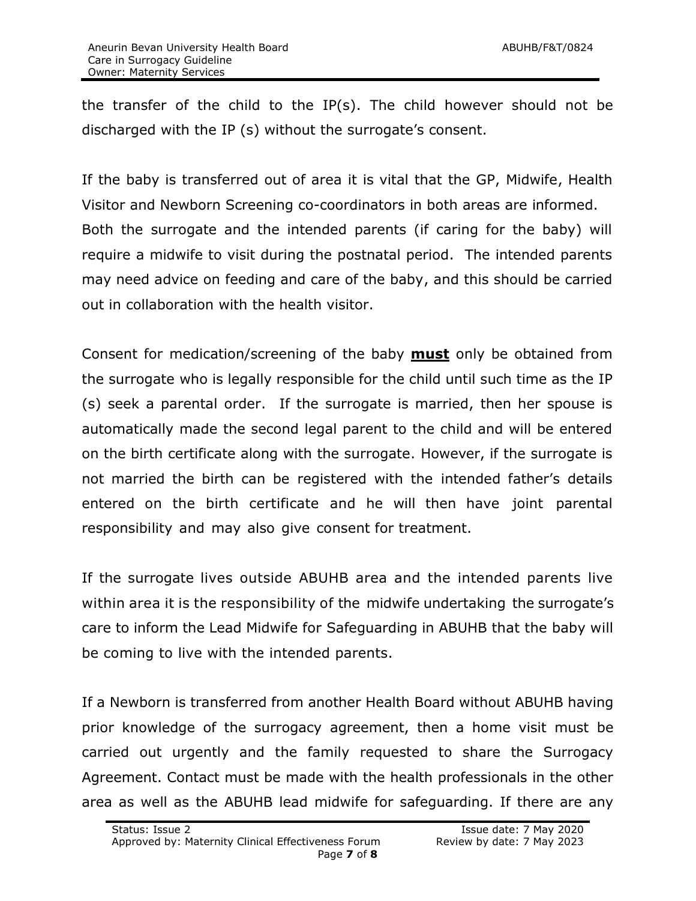the transfer of the child to the IP(s). The child however should not be discharged with the IP (s) without the surrogate's consent.

If the baby is transferred out of area it is vital that the GP, Midwife, Health Visitor and Newborn Screening co-coordinators in both areas are informed. Both the surrogate and the intended parents (if caring for the baby) will require a midwife to visit during the postnatal period. The intended parents may need advice on feeding and care of the baby, and this should be carried out in collaboration with the health visitor.

Consent for medication/screening of the baby **must** only be obtained from the surrogate who is legally responsible for the child until such time as the IP (s) seek a parental order. If the surrogate is married, then her spouse is automatically made the second legal parent to the child and will be entered on the birth certificate along with the surrogate. However, if the surrogate is not married the birth can be registered with the intended father's details entered on the birth certificate and he will then have joint parental responsibility and may also give consent for treatment.

If the surrogate lives outside ABUHB area and the intended parents live within area it is the responsibility of the midwife undertaking the surrogate's care to inform the Lead Midwife for Safeguarding in ABUHB that the baby will be coming to live with the intended parents.

If a Newborn is transferred from another Health Board without ABUHB having prior knowledge of the surrogacy agreement, then a home visit must be carried out urgently and the family requested to share the Surrogacy Agreement. Contact must be made with the health professionals in the other area as well as the ABUHB lead midwife for safeguarding. If there are any